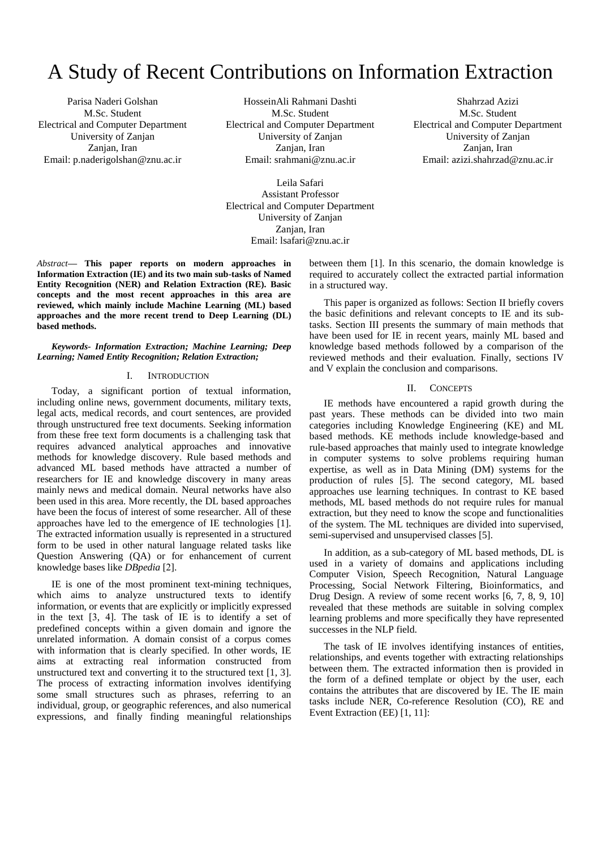# A Study of Recent Contributions on Information Extraction

Parisa Naderi Golshan M.Sc. Student Electrical and Computer Department University of Zanjan Zanjan, Iran Email: p.naderigolshan@znu.ac.ir

HosseinAli Rahmani Dashti M.Sc. Student Electrical and Computer Department University of Zanjan Zanjan, Iran Email: srahmani@znu.ac.ir

Shahrzad Azizi M.Sc. Student Electrical and Computer Department University of Zanjan Zanjan, Iran Email: azizi.shahrzad@znu.ac.ir

Leila Safari Assistant Professor Electrical and Computer Department University of Zanjan Zanjan, Iran Email: lsafari@znu.ac.ir

*Abstract***— This paper reports on modern approaches in Information Extraction (IE) and its two main sub-tasks of Named Entity Recognition (NER) and Relation Extraction (RE). Basic concepts and the most recent approaches in this area are reviewed, which mainly include Machine Learning (ML) based approaches and the more recent trend to Deep Learning (DL) based methods.**

## *Keywords- Information Extraction; Machine Learning; Deep Learning; Named Entity Recognition; Relation Extraction;*

## I. INTRODUCTION

Today, a significant portion of textual information, including online news, government documents, military texts, legal acts, medical records, and court sentences, are provided through unstructured free text documents. Seeking information from these free text form documents is a challenging task that requires advanced analytical approaches and innovative methods for knowledge discovery. Rule based methods and advanced ML based methods have attracted a number of researchers for IE and knowledge discovery in many areas mainly news and medical domain. Neural networks have also been used in this area. More recently, the DL based approaches have been the focus of interest of some researcher. All of these approaches have led to the emergence of IE technologies [1]. The extracted information usually is represented in a structured form to be used in other natural language related tasks like Question Answering (QA) or for enhancement of current knowledge bases like *DBpedia* [2].

IE is one of the most prominent text-mining techniques, which aims to analyze unstructured texts to identify information, or events that are explicitly or implicitly expressed in the text [3, 4]. The task of IE is to identify a set of predefined concepts within a given domain and ignore the unrelated information. A domain consist of a corpus comes with information that is clearly specified. In other words, IE aims at extracting real information constructed from unstructured text and converting it to the structured text [1, 3]. The process of extracting information involves identifying some small structures such as phrases, referring to an individual, group, or geographic references, and also numerical expressions, and finally finding meaningful relationships between them [1]. In this scenario, the domain knowledge is required to accurately collect the extracted partial information in a structured way.

This paper is organized as follows: Section II briefly covers the basic definitions and relevant concepts to IE and its subtasks. Section III presents the summary of main methods that have been used for IE in recent years, mainly ML based and knowledge based methods followed by a comparison of the reviewed methods and their evaluation. Finally, sections IV and V explain the conclusion and comparisons.

## II. CONCEPTS

IE methods have encountered a rapid growth during the past years. These methods can be divided into two main categories including Knowledge Engineering (KE) and ML based methods. KE methods include knowledge-based and rule-based approaches that mainly used to integrate knowledge in computer systems to solve problems requiring human expertise, as well as in Data Mining (DM) systems for the production of rules [5]. The second category, ML based approaches use learning techniques. In contrast to KE based methods, ML based methods do not require rules for manual extraction, but they need to know the scope and functionalities of the system. The ML techniques are divided into supervised, semi-supervised and unsupervised classes [5].

In addition, as a sub-category of ML based methods, DL is used in a variety of domains and applications including Computer Vision, Speech Recognition, Natural Language Processing, Social Network Filtering, Bioinformatics, and Drug Design. A review of some recent works [6, 7, 8, 9, 10] revealed that these methods are suitable in solving complex learning problems and more specifically they have represented successes in the NLP field.

The task of IE involves identifying instances of entities, relationships, and events together with extracting relationships between them. The extracted information then is provided in the form of a defined template or object by the user, each contains the attributes that are discovered by IE. The IE main tasks include NER, Co-reference Resolution (CO), RE and Event Extraction (EE) [1, 11]: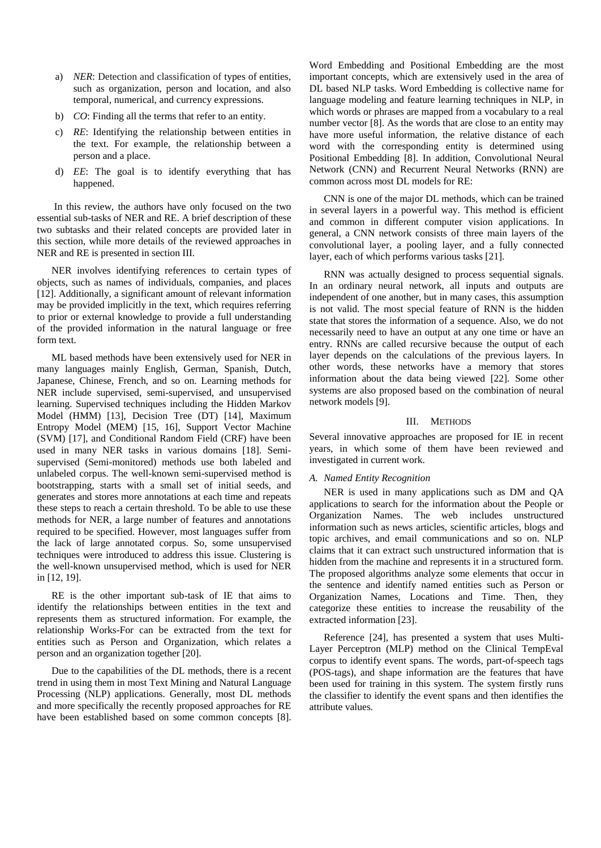- a) *NER*: Detection and classification of types of entities, such as organization, person and location, and also temporal, numerical, and currency expressions.
- b) *CO*: Finding all the terms that refer to an entity.
- c) *RE*: Identifying the relationship between entities in the text. For example, the relationship between a person and a place.
- d) *EE*: The goal is to identify everything that has happened.

In this review, the authors have only focused on the two essential sub-tasks of NER and RE. A brief description of these two subtasks and their related concepts are provided later in this section, while more details of the reviewed approaches in NER and RE is presented in section III.

NER involves identifying references to certain types of objects, such as names of individuals, companies, and places [12]. Additionally, a significant amount of relevant information may be provided implicitly in the text, which requires referring to prior or external knowledge to provide a full understanding of the provided information in the natural language or free form text.

ML based methods have been extensively used for NER in many languages mainly English, German, Spanish, Dutch, Japanese, Chinese, French, and so on. Learning methods for NER include supervised, semi-supervised, and unsupervised learning. Supervised techniques including the Hidden Markov Model (HMM) [13], Decision Tree (DT) [14], Maximum Entropy Model (MEM) [15, 16], Support Vector Machine (SVM) [17], and Conditional Random Field (CRF) have been used in many NER tasks in various domains [18]. Semisupervised (Semi-monitored) methods use both labeled and unlabeled corpus. The well-known semi-supervised method is bootstrapping, starts with a small set of initial seeds, and generates and stores more annotations at each time and repeats these steps to reach a certain threshold. To be able to use these methods for NER, a large number of features and annotations required to be specified. However, most languages suffer from the lack of large annotated corpus. So, some unsupervised techniques were introduced to address this issue. Clustering is the well-known unsupervised method, which is used for NER in [12, 19].

RE is the other important sub-task of IE that aims to identify the relationships between entities in the text and represents them as structured information. For example, the relationship Works-For can be extracted from the text for entities such as Person and Organization, which relates a person and an organization together [20].

Due to the capabilities of the DL methods, there is a recent trend in using them in most Text Mining and Natural Language Processing (NLP) applications. Generally, most DL methods and more specifically the recently proposed approaches for RE have been established based on some common concepts [8].

Word Embedding and Positional Embedding are the most important concepts, which are extensively used in the area of DL based NLP tasks. Word Embedding is collective name for language modeling and feature learning techniques in NLP, in which words or phrases are mapped from a vocabulary to a real number vector [8]. As the words that are close to an entity may have more useful information, the relative distance of each word with the corresponding entity is determined using Positional Embedding [8]. In addition, Convolutional Neural Network (CNN) and Recurrent Neural Networks (RNN) are common across most DL models for RE:

CNN is one of the major DL methods, which can be trained in several layers in a powerful way. This method is efficient and common in different computer vision applications. In general, a CNN network consists of three main layers of the convolutional layer, a pooling layer, and a fully connected layer, each of which performs various tasks [21].

RNN was actually designed to process sequential signals. In an ordinary neural network, all inputs and outputs are independent of one another, but in many cases, this assumption is not valid. The most special feature of RNN is the hidden state that stores the information of a sequence. Also, we do not necessarily need to have an output at any one time or have an entry. RNNs are called recursive because the output of each layer depends on the calculations of the previous layers. In other words, these networks have a memory that stores information about the data being viewed [22]. Some other systems are also proposed based on the combination of neural network models [9].

## III. METHODS

Several innovative approaches are proposed for IE in recent years, in which some of them have been reviewed and investigated in current work.

## *A. Named Entity Recognition*

NER is used in many applications such as DM and QA applications to search for the information about the People or Organization Names. The web includes unstructured information such as news articles, scientific articles, blogs and topic archives, and email communications and so on. NLP claims that it can extract such unstructured information that is hidden from the machine and represents it in a structured form. The proposed algorithms analyze some elements that occur in the sentence and identify named entities such as Person or Organization Names, Locations and Time. Then, they categorize these entities to increase the reusability of the extracted information [23].

Reference [24], has presented a system that uses Multi-Layer Perceptron (MLP) method on the Clinical TempEval corpus to identify event spans. The words, part-of-speech tags (POS-tags), and shape information are the features that have been used for training in this system. The system firstly runs the classifier to identify the event spans and then identifies the attribute values.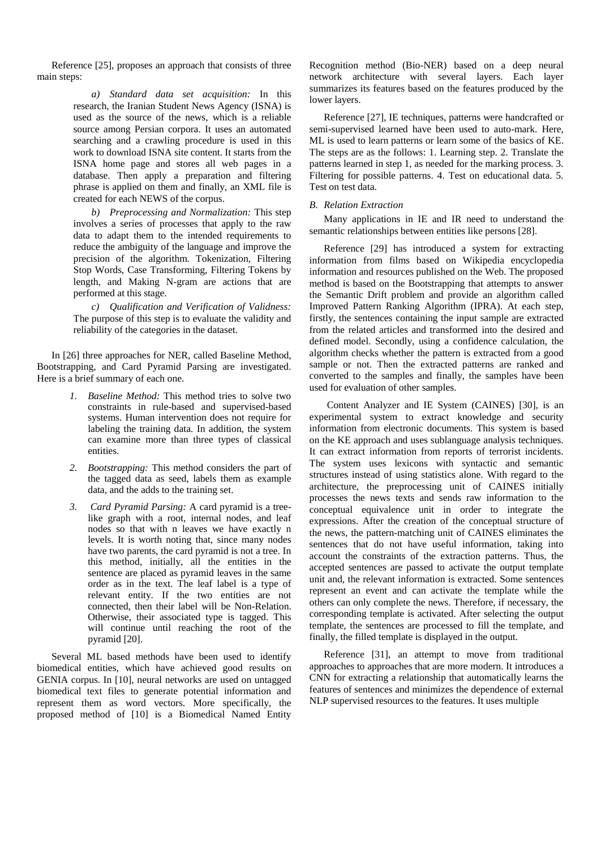Reference [25], proposes an approach that consists of three main steps:

> *a) Standard data set acquisition:* In this research, the Iranian Student News Agency (ISNA) is used as the source of the news, which is a reliable source among Persian corpora. It uses an automated searching and a crawling procedure is used in this work to download ISNA site content. It starts from the ISNA home page and stores all web pages in a database. Then apply a preparation and filtering phrase is applied on them and finally, an XML file is created for each NEWS of the corpus.

> *b) Preprocessing and Normalization:* This step involves a series of processes that apply to the raw data to adapt them to the intended requirements to reduce the ambiguity of the language and improve the precision of the algorithm. Tokenization, Filtering Stop Words, Case Transforming, Filtering Tokens by length, and Making N-gram are actions that are performed at this stage.

*c) Qualification and Verification of Validness:*  The purpose of this step is to evaluate the validity and reliability of the categories in the dataset.

In [26] three approaches for NER, called Baseline Method, Bootstrapping, and Card Pyramid Parsing are investigated. Here is a brief summary of each one.

- *1. Baseline Method:* This method tries to solve two constraints in rule-based and supervised-based systems. Human intervention does not require for labeling the training data. In addition, the system can examine more than three types of classical entities.
- *2. Bootstrapping:* This method considers the part of the tagged data as seed, labels them as example data, and the adds to the training set.
- *3. Card Pyramid Parsing:* A card pyramid is a treelike graph with a root, internal nodes, and leaf nodes so that with n leaves we have exactly n levels. It is worth noting that, since many nodes have two parents, the card pyramid is not a tree. In this method, initially, all the entities in the sentence are placed as pyramid leaves in the same order as in the text. The leaf label is a type of relevant entity. If the two entities are not connected, then their label will be Non-Relation. Otherwise, their associated type is tagged. This will continue until reaching the root of the pyramid [20].

Several ML based methods have been used to identify biomedical entities, which have achieved good results on GENIA corpus. In [10], neural networks are used on untagged biomedical text files to generate potential information and represent them as word vectors. More specifically, the proposed method of [10] is a Biomedical Named Entity Recognition method (Bio-NER) based on a deep neural network architecture with several layers. Each layer summarizes its features based on the features produced by the lower layers.

Reference [27], IE techniques, patterns were handcrafted or semi-supervised learned have been used to auto-mark. Here, ML is used to learn patterns or learn some of the basics of KE. The steps are as the follows: 1. Learning step. 2. Translate the patterns learned in step 1, as needed for the marking process. 3. Filtering for possible patterns. 4. Test on educational data. 5. Test on test data.

# *B. Relation Extraction*

Many applications in IE and IR need to understand the semantic relationships between entities like persons [28].

Reference [29] has introduced a system for extracting information from films based on Wikipedia encyclopedia information and resources published on the Web. The proposed method is based on the Bootstrapping that attempts to answer the Semantic Drift problem and provide an algorithm called Improved Pattern Ranking Algorithm (IPRA). At each step, firstly, the sentences containing the input sample are extracted from the related articles and transformed into the desired and defined model. Secondly, using a confidence calculation, the algorithm checks whether the pattern is extracted from a good sample or not. Then the extracted patterns are ranked and converted to the samples and finally, the samples have been used for evaluation of other samples.

Content Analyzer and IE System (CAINES) [30], is an experimental system to extract knowledge and security information from electronic documents. This system is based on the KE approach and uses sublanguage analysis techniques. It can extract information from reports of terrorist incidents. The system uses lexicons with syntactic and semantic structures instead of using statistics alone. With regard to the architecture, the preprocessing unit of CAINES initially processes the news texts and sends raw information to the conceptual equivalence unit in order to integrate the expressions. After the creation of the conceptual structure of the news, the pattern-matching unit of CAINES eliminates the sentences that do not have useful information, taking into account the constraints of the extraction patterns. Thus, the accepted sentences are passed to activate the output template unit and, the relevant information is extracted. Some sentences represent an event and can activate the template while the others can only complete the news. Therefore, if necessary, the corresponding template is activated. After selecting the output template, the sentences are processed to fill the template, and finally, the filled template is displayed in the output.

Reference [31], an attempt to move from traditional approaches to approaches that are more modern. It introduces a CNN for extracting a relationship that automatically learns the features of sentences and minimizes the dependence of external NLP supervised resources to the features. It uses multiple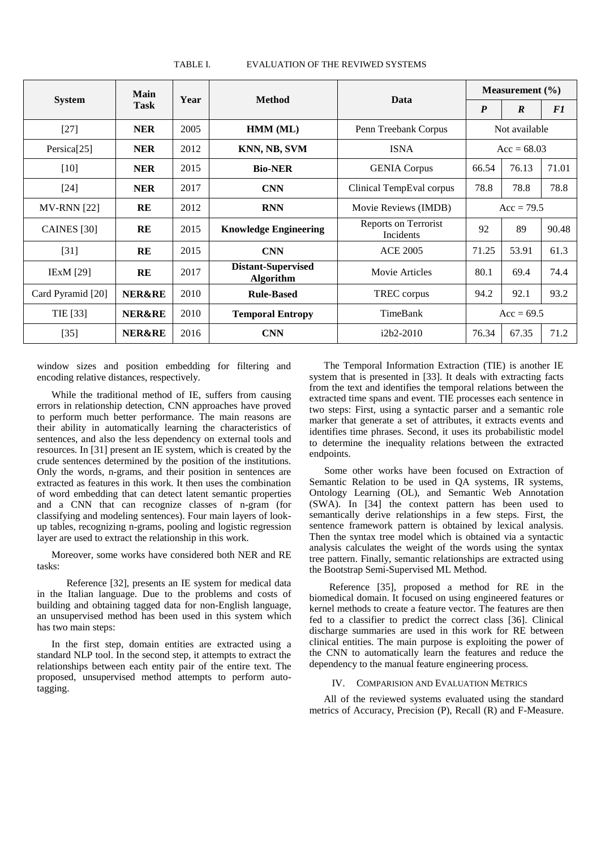| <b>System</b>           | Main<br><b>Task</b> | Year | <b>Method</b>                          | Data                                     | Measurement $(\% )$ |                  |       |
|-------------------------|---------------------|------|----------------------------------------|------------------------------------------|---------------------|------------------|-------|
|                         |                     |      |                                        |                                          | $\boldsymbol{P}$    | $\boldsymbol{R}$ | F1    |
| $[27]$                  | <b>NER</b>          | 2005 | HMM (ML)                               | Penn Treebank Corpus                     | Not available       |                  |       |
| Persica <sup>[25]</sup> | <b>NER</b>          | 2012 | KNN, NB, SVM                           | <b>ISNA</b>                              | $Acc = 68.03$       |                  |       |
| $[10]$                  | <b>NER</b>          | 2015 | <b>Bio-NER</b>                         | <b>GENIA</b> Corpus                      | 66.54               | 76.13            | 71.01 |
| $[24]$                  | <b>NER</b>          | 2017 | <b>CNN</b>                             | Clinical TempEval corpus                 | 78.8                | 78.8             | 78.8  |
| <b>MV-RNN</b> [22]      | RE                  | 2012 | <b>RNN</b>                             | Movie Reviews (IMDB)                     | $Acc = 79.5$        |                  |       |
| CAINES [30]             | RE                  | 2015 | <b>Knowledge Engineering</b>           | Reports on Terrorist<br><b>Incidents</b> | 92                  | 89               | 90.48 |
| $[31]$                  | RE                  | 2015 | <b>CNN</b>                             | <b>ACE 2005</b>                          | 71.25               | 53.91            | 61.3  |
| <b>IExM</b> [29]        | RE                  | 2017 | <b>Distant-Supervised</b><br>Algorithm | Movie Articles                           | 80.1                | 69.4             | 74.4  |
| Card Pyramid [20]       | <b>NER&amp;RE</b>   | 2010 | <b>Rule-Based</b>                      | TREC corpus                              | 94.2                | 92.1             | 93.2  |
| TIE [33]                | <b>NER&amp;RE</b>   | 2010 | <b>Temporal Entropy</b>                | TimeBank                                 | $Acc = 69.5$        |                  |       |
| $[35]$                  | <b>NER&amp;RE</b>   | 2016 | <b>CNN</b>                             | $i2b2-2010$                              | 76.34               | 67.35            | 71.2  |

TABLE I. EVALUATION OF THE REVIWED SYSTEMS

window sizes and position embedding for filtering and encoding relative distances, respectively.

While the traditional method of IE, suffers from causing errors in relationship detection, CNN approaches have proved to perform much better performance. The main reasons are their ability in automatically learning the characteristics of sentences, and also the less dependency on external tools and resources. In [31] present an IE system, which is created by the crude sentences determined by the position of the institutions. Only the words, n-grams, and their position in sentences are extracted as features in this work. It then uses the combination of word embedding that can detect latent semantic properties and a CNN that can recognize classes of n-gram (for classifying and modeling sentences). Four main layers of lookup tables, recognizing n-grams, pooling and logistic regression layer are used to extract the relationship in this work.

Moreover, some works have considered both NER and RE tasks:

 Reference [32], presents an IE system for medical data in the Italian language. Due to the problems and costs of building and obtaining tagged data for non-English language, an unsupervised method has been used in this system which has two main steps:

In the first step, domain entities are extracted using a standard NLP tool. In the second step, it attempts to extract the relationships between each entity pair of the entire text. The proposed, unsupervised method attempts to perform autotagging.

The Temporal Information Extraction (TIE) is another IE system that is presented in [33]. It deals with extracting facts from the text and identifies the temporal relations between the extracted time spans and event. TIE processes each sentence in two steps: First, using a syntactic parser and a semantic role marker that generate a set of attributes, it extracts events and identifies time phrases. Second, it uses its probabilistic model to determine the inequality relations between the extracted endpoints.

 Some other works have been focused on Extraction of Semantic Relation to be used in QA systems, IR systems, Ontology Learning (OL), and Semantic Web Annotation (SWA). In [34] the context pattern has been used to semantically derive relationships in a few steps. First, the sentence framework pattern is obtained by lexical analysis. Then the syntax tree model which is obtained via a syntactic analysis calculates the weight of the words using the syntax tree pattern. Finally, semantic relationships are extracted using the Bootstrap Semi-Supervised ML Method.

 Reference [35], proposed a method for RE in the biomedical domain. It focused on using engineered features or kernel methods to create a feature vector. The features are then fed to a classifier to predict the correct class [36]. Clinical discharge summaries are used in this work for RE between clinical entities. The main purpose is exploiting the power of the CNN to automatically learn the features and reduce the dependency to the manual feature engineering process.

## IV. COMPARISION AND EVALUATION METRICS

All of the reviewed systems evaluated using the standard metrics of Accuracy, Precision (P), Recall (R) and F-Measure.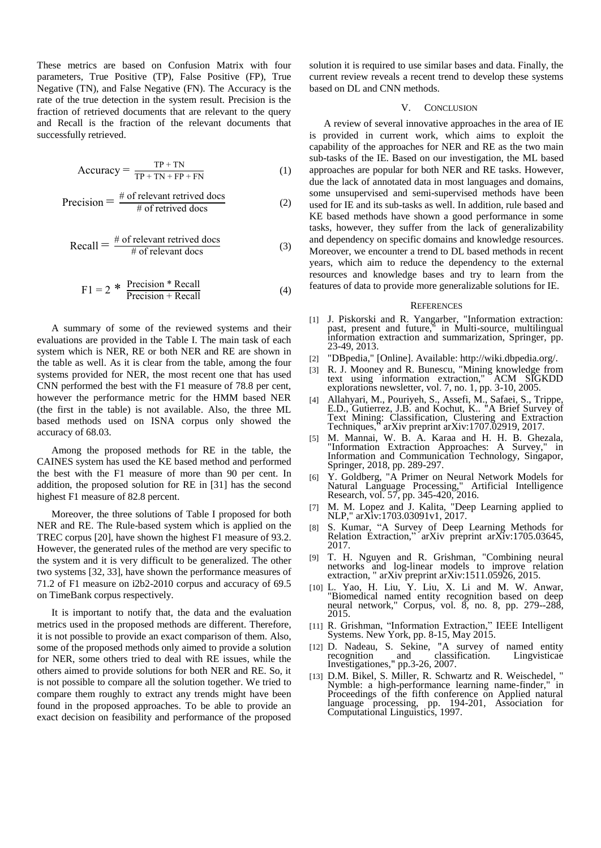These metrics are based on Confusion Matrix with four parameters, True Positive (TP), False Positive (FP), True Negative (TN), and False Negative (FN). The Accuracy is the rate of the true detection in the system result. Precision is the fraction of retrieved documents that are relevant to the query and Recall is the fraction of the relevant documents that successfully retrieved.

$$
Accuracy = \frac{TP + TN}{TP + TN + FP + FN}
$$
 (1)

$$
Precision = \frac{\text{\# of relevant retrieved does}}{\text{\# of retrieved does}} \tag{2}
$$

$$
Recall = \frac{\# \text{ of relevant retrieved does}}{\# \text{ of relevant does}} \tag{3}
$$

$$
F1 = 2 * \frac{Precision * Recall}{Precision + Recall}
$$
 (4)

A summary of some of the reviewed systems and their evaluations are provided in the Table I. The main task of each system which is NER, RE or both NER and RE are shown in the table as well. As it is clear from the table, among the four systems provided for NER, the most recent one that has used CNN performed the best with the F1 measure of 78.8 per cent, however the performance metric for the HMM based NER (the first in the table) is not available. Also, the three ML based methods used on ISNA corpus only showed the accuracy of 68.03.

Among the proposed methods for RE in the table, the CAINES system has used the KE based method and performed the best with the F1 measure of more than 90 per cent. In addition, the proposed solution for RE in [31] has the second highest F1 measure of 82.8 percent.

Moreover, the three solutions of Table I proposed for both NER and RE. The Rule-based system which is applied on the TREC corpus [20], have shown the highest F1 measure of 93.2. However, the generated rules of the method are very specific to the system and it is very difficult to be generalized. The other two systems [32, 33], have shown the performance measures of 71.2 of F1 measure on i2b2-2010 corpus and accuracy of 69.5 on TimeBank corpus respectively.

It is important to notify that, the data and the evaluation metrics used in the proposed methods are different. Therefore, it is not possible to provide an exact comparison of them. Also, some of the proposed methods only aimed to provide a solution for NER, some others tried to deal with RE issues, while the others aimed to provide solutions for both NER and RE. So, it is not possible to compare all the solution together. We tried to compare them roughly to extract any trends might have been found in the proposed approaches. To be able to provide an exact decision on feasibility and performance of the proposed

solution it is required to use similar bases and data. Finally, the current review reveals a recent trend to develop these systems based on DL and CNN methods.

## V. CONCLUSION

A review of several innovative approaches in the area of IE is provided in current work, which aims to exploit the capability of the approaches for NER and RE as the two main sub-tasks of the IE. Based on our investigation, the ML based approaches are popular for both NER and RE tasks. However, due the lack of annotated data in most languages and domains, some unsupervised and semi-supervised methods have been used for IE and its sub-tasks as well. In addition, rule based and KE based methods have shown a good performance in some tasks, however, they suffer from the lack of generalizability and dependency on specific domains and knowledge resources. Moreover, we encounter a trend to DL based methods in recent years, which aim to reduce the dependency to the external resources and knowledge bases and try to learn from the features of data to provide more generalizable solutions for IE.

#### **REFERENCES**

- [1] J. Piskorski and R. Yangarber, "Information extraction: past, present and future," in Multi-source, multilingual information extraction and summarization, Springer, pp. 23-49, 2013.
- [2] "DBpedia," [Online]. Available: http://wiki.dbpedia.org/.
- [3] R. J. Mooney and R. Bunescu, "Mining knowledge from text using information extraction," ACM SIGKDD explorations newsletter, vol. 7, no. 1, pp. 3-10, 2005.
- [4] Allahyari, M., Pouriyeh, S., Assefi, M., Safaei, S., Trippe, E.D., Gutierrez, J.B. and Kochut, K.. "A Brief Survey of Text Mining: Classification, Clustering and Extraction Techniques," arXiv preprint arXiv:1707.02919, 2017.
- [5] M. Mannai, W. B. A. Karaa and H. H. B. Ghezala, "Information Extraction Approaches: A Survey," in Information and Communication Technology, Singapor, Springer, 2018, pp. 289-297.
- [6] Y. Goldberg, "A Primer on Neural Network Models for Natural Language Processing," Artificial Intelligence Research, vol. 57, pp. 345-420, 2016.
- [7] M. M. Lopez and J. Kalita, "Deep Learning applied to NLP," arXiv:1703.03091v1, 2017.
- [8] S. Kumar, "A Survey of Deep Learning Methods for Relation Extraction," arXiv preprint arXiv:1705.03645, 2017.
- [9] T. H. Nguyen and R. Grishman, "Combining neural networks and log-linear models to improve relation extraction, " arXiv preprint arXiv:1511.05926, 2015.
- [10] L. Yao, H. Liu, Y. Liu, X. Li and M. W. Anwar, "Biomedical named entity recognition based on deep neural network," Corpus, vol. 8, no. 8, pp. 279--288, 2015.
- [11] R. Grishman, "Information Extraction," IEEE Intelligent Systems. New York, pp. 8-15, May 2015.
- [12] D. Nadeau, S. Sekine, "A survey of named entity recognition and classification. Lingvisticae Investigationes," pp.3-26, 2007.
- [13] D.M. Bikel, S. Miller, R. Schwartz and R. Weischedel, " Nymble: a high-performance learning name-finder," in Proceedings of the fifth conference on Applied natural language processing, pp. 194-201, Association for Computational Linguistics, 1997.